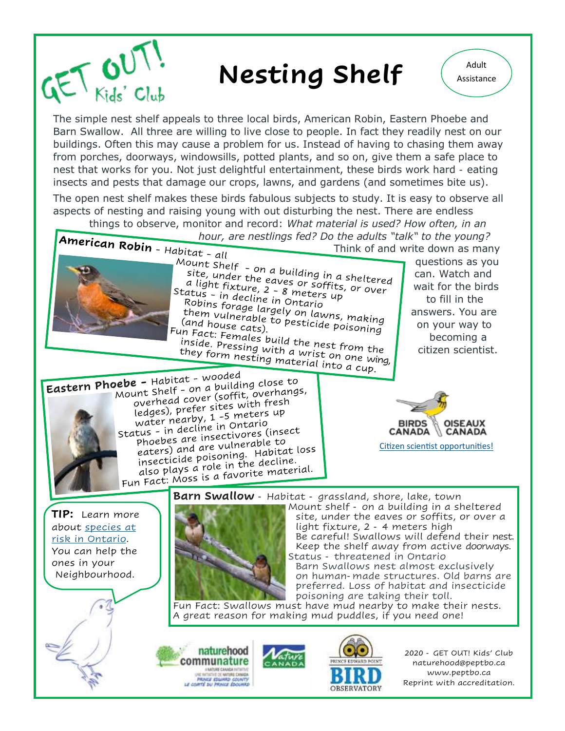

## **Nesting Shelf**  $\left( \begin{array}{c} \triangle^{\text{Adult}} \\ \triangle^{\text{Sisistance}} \end{array} \right)$

The simple nest shelf appeals to three local birds, American Robin, Eastern Phoebe and Barn Swallow. All three are willing to live close to people. In fact they readily nest on our buildings. Often this may cause a problem for us. Instead of having to chasing them away from porches, doorways, windowsills, potted plants, and so on, give them a safe place to nest that works for you. Not just delightful entertainment, these birds work hard - eating insects and pests that damage our crops, lawns, and gardens (and sometimes bite us).

The open nest shelf makes these birds fabulous subjects to study. It is easy to observe all aspects of nesting and raising young with out disturbing the nest. There are endless

things to observe, monitor and record: *What material is used? How often, in an hour, are nestlings fed? Do the adults "talk" to the young?*<br>Think of and write down as man

Suite shelf - on a building in a sheltered<br>site, under the eaves or soffits, or over<br>a light fixture, 2 - 8 meters up

cally - in decline in Onclets up<br>Robins forage largely on lawns, making<br>them vulnerable to pesticide poisoning<br>(and house cate) wout forage largely on lawns, making<br>them vulnerable to pesticide poisoning<br>(and house cats).<br>n Fact: Femals...

tund house cats). Pesticide poisoning<br>Fun Fact: Females build the nest from the<br>inside. Pressing with a wrist on one the in ract: Females build the nest from the<br>inside. Pressing with a wrist on one wing,<br>they form nesting material into a sung,

a light fixture, 2 - 8 or soffits,<br>a light fixture, 2 - 8 meters up<br>Pobis in decline in ontass up

Status - in decline in Ontario<br>Robins - in decline in Ontario<br>Robins forage largely

and house cats).<br>In Eact: Ese cats).

abitat - all<br>
Mount Shelf - on a building in a sheltered and Wite down as you<br>
Mount Shelf - on a building in a sheltered can. Watch and questions as you can. Watch and wait for the birds to fill in the answers. You are on your way to becoming a citizen scientist.

they form nesting with a wrist on one will<br>they form nesting material into a cup. Eastern Phoebe - Habitat - wooded<br>Eastern Phoebe - Habitat - wooded **ebe -** Habitat - wooded<br>Mount Shelf - on a building close to<br>Mount sheed Cover (soffit, over all ant Shelf - on a building close<br>overhead cover (soffit, overhangs,<br>overhead cover sites with fresh overhead cover (soffit, overhand<br>ledges), prefer sites with fresh<br>ledges), prefer sites with fresh ledges), prefer sites with the<br>water nearby, 1-5 meters up<br>water decline in Ontario water nearby, 1-3 meters<br>status - in decline in Ontario<br>status - these are insectivores tus - in decline in Ontario<br>phoebes are insectivores (insect<br>phoebes) and are vulnerable to phoebes are insectivores (instance)<br>eaters) and are vulnerable to<br>eaters) identisoning. Habita enters) and are vulnerable to<br>insecticide poisoning. Habitat loss<br>insecticide poisoning. Habitat insecticide poisoning. Habitate.<br>also plays a role in the decline.<br>also plays is a favorite mater also plays a role in the aecuno:<br>Fun Fact: Moss is a favorite material.

**BIRDS OISEAUX CANADA CANADA** [Citizen scientist opportunities!](https://www.birdscanada.org/bird-science/project-nestwatch/)

**TIP:** Learn more about [species at](https://www.ontario.ca/page/species-risk-ontario)  [risk in Ontario.](https://www.ontario.ca/page/species-risk-ontario) You can help the ones in your Neighbourhood.

**Barn Swallow** - Habitat - grassland, shore, lake, town



Mount shelf - on a building in a sheltered site, under the eaves or soffits, or over a light fixture, 2 - 4 meters high Be careful! Swallows will defend their nest. Keep the shelf away from active doorways. Status - threatened in Ontario Barn Swallows nest almost exclusively

on human-made structures. Old barns are preferred. Loss of habitat and insecticide poisoning are taking their toll.

Fun Fact: Swallows must have mud nearby to make their nests. A great reason for making mud puddles, if you need one!





2020 - GET OUT! Kids' Club naturehood@peptbo.ca www.peptbo.ca Reprint with accreditation.